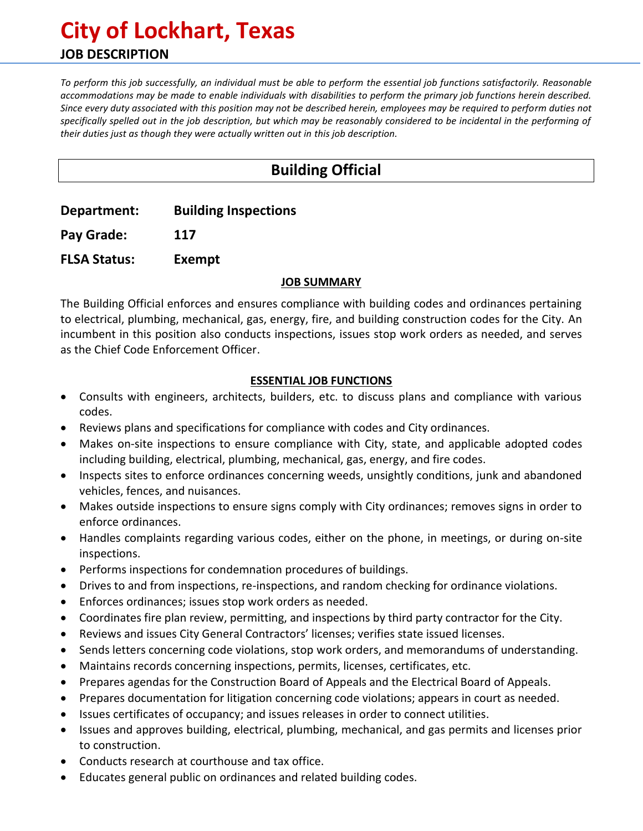# **City of Lockhart, Texas JOB DESCRIPTION**

*To perform this job successfully, an individual must be able to perform the essential job functions satisfactorily. Reasonable accommodations may be made to enable individuals with disabilities to perform the primary job functions herein described. Since every duty associated with this position may not be described herein, employees may be required to perform duties not specifically spelled out in the job description, but which may be reasonably considered to be incidental in the performing of their duties just as though they were actually written out in this job description.*

# **Building Official**

**Department: Building Inspections**

**Pay Grade: 117**

**FLSA Status: Exempt**

#### **JOB SUMMARY**

The Building Official enforces and ensures compliance with building codes and ordinances pertaining to electrical, plumbing, mechanical, gas, energy, fire, and building construction codes for the City. An incumbent in this position also conducts inspections, issues stop work orders as needed, and serves as the Chief Code Enforcement Officer.

## **ESSENTIAL JOB FUNCTIONS**

- Consults with engineers, architects, builders, etc. to discuss plans and compliance with various codes.
- Reviews plans and specifications for compliance with codes and City ordinances.
- Makes on-site inspections to ensure compliance with City, state, and applicable adopted codes including building, electrical, plumbing, mechanical, gas, energy, and fire codes.
- Inspects sites to enforce ordinances concerning weeds, unsightly conditions, junk and abandoned vehicles, fences, and nuisances.
- Makes outside inspections to ensure signs comply with City ordinances; removes signs in order to enforce ordinances.
- Handles complaints regarding various codes, either on the phone, in meetings, or during on-site inspections.
- Performs inspections for condemnation procedures of buildings.
- Drives to and from inspections, re-inspections, and random checking for ordinance violations.
- Enforces ordinances; issues stop work orders as needed.
- Coordinates fire plan review, permitting, and inspections by third party contractor for the City.
- Reviews and issues City General Contractors' licenses; verifies state issued licenses.
- Sends letters concerning code violations, stop work orders, and memorandums of understanding.
- Maintains records concerning inspections, permits, licenses, certificates, etc.
- Prepares agendas for the Construction Board of Appeals and the Electrical Board of Appeals.
- Prepares documentation for litigation concerning code violations; appears in court as needed.
- Issues certificates of occupancy; and issues releases in order to connect utilities.
- Issues and approves building, electrical, plumbing, mechanical, and gas permits and licenses prior to construction.
- Conducts research at courthouse and tax office.
- Educates general public on ordinances and related building codes.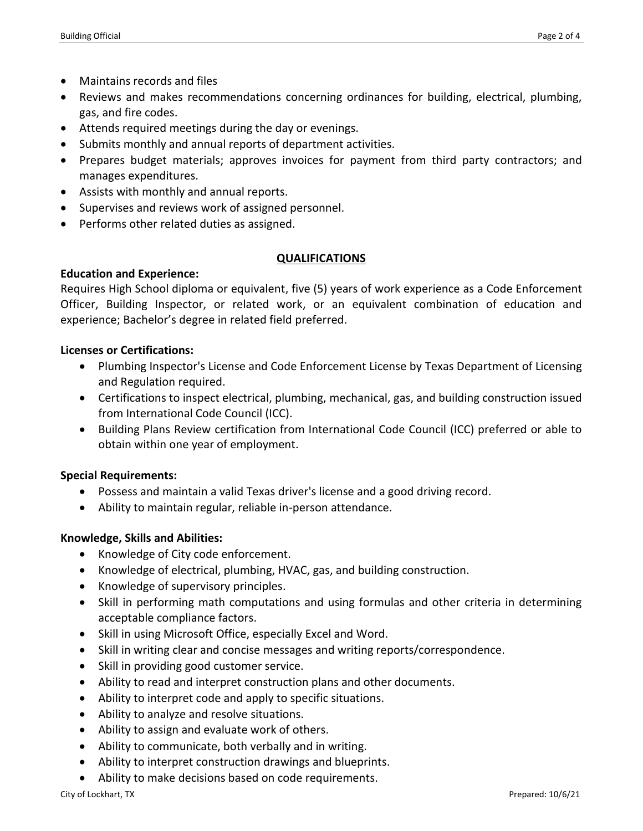- Maintains records and files
- Reviews and makes recommendations concerning ordinances for building, electrical, plumbing, gas, and fire codes.
- Attends required meetings during the day or evenings.
- Submits monthly and annual reports of department activities.
- Prepares budget materials; approves invoices for payment from third party contractors; and manages expenditures.
- Assists with monthly and annual reports.
- Supervises and reviews work of assigned personnel.
- Performs other related duties as assigned.

#### **QUALIFICATIONS**

#### **Education and Experience:**

Requires High School diploma or equivalent, five (5) years of work experience as a Code Enforcement Officer, Building Inspector, or related work, or an equivalent combination of education and experience; Bachelor's degree in related field preferred.

#### **Licenses or Certifications:**

- Plumbing Inspector's License and Code Enforcement License by Texas Department of Licensing and Regulation required.
- Certifications to inspect electrical, plumbing, mechanical, gas, and building construction issued from International Code Council (ICC).
- Building Plans Review certification from International Code Council (ICC) preferred or able to obtain within one year of employment.

## **Special Requirements:**

- Possess and maintain a valid Texas driver's license and a good driving record.
- Ability to maintain regular, reliable in-person attendance.

## **Knowledge, Skills and Abilities:**

- Knowledge of City code enforcement.
- Knowledge of electrical, plumbing, HVAC, gas, and building construction.
- Knowledge of supervisory principles.
- Skill in performing math computations and using formulas and other criteria in determining acceptable compliance factors.
- Skill in using Microsoft Office, especially Excel and Word.
- Skill in writing clear and concise messages and writing reports/correspondence.
- Skill in providing good customer service.
- Ability to read and interpret construction plans and other documents.
- Ability to interpret code and apply to specific situations.
- Ability to analyze and resolve situations.
- Ability to assign and evaluate work of others.
- Ability to communicate, both verbally and in writing.
- Ability to interpret construction drawings and blueprints.
- Ability to make decisions based on code requirements.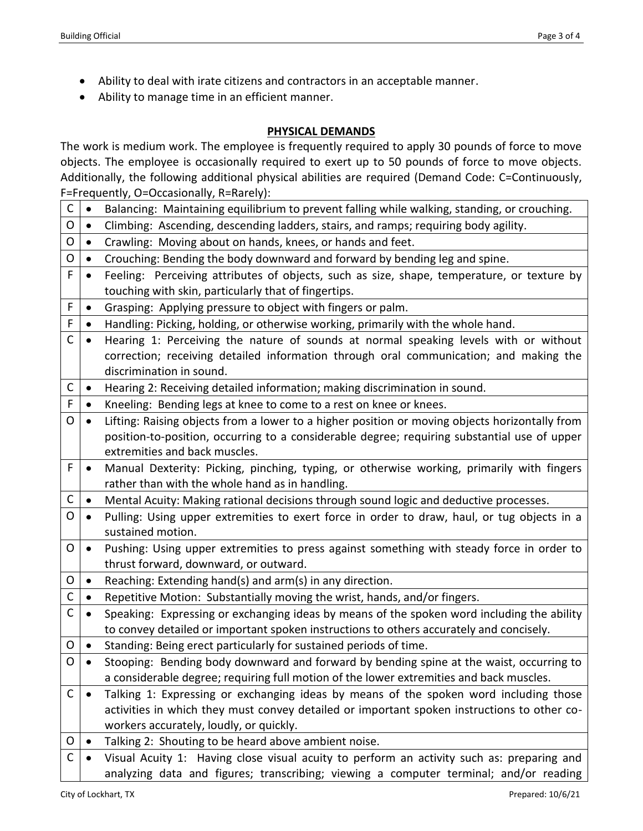- Ability to deal with irate citizens and contractors in an acceptable manner.
- Ability to manage time in an efficient manner.

#### **PHYSICAL DEMANDS**

The work is medium work. The employee is frequently required to apply 30 pounds of force to move objects. The employee is occasionally required to exert up to 50 pounds of force to move objects. Additionally, the following additional physical abilities are required (Demand Code: C=Continuously,  $F=$ Frequently, O=Occasionally, R=Rarely);

|             |           | $\sim$ requestery, $\sim$ -occasionally, it—rightly fi-                                                          |
|-------------|-----------|------------------------------------------------------------------------------------------------------------------|
| C           | $\bullet$ | Balancing: Maintaining equilibrium to prevent falling while walking, standing, or crouching.                     |
| O           | $\bullet$ | Climbing: Ascending, descending ladders, stairs, and ramps; requiring body agility.                              |
| O           | $\bullet$ | Crawling: Moving about on hands, knees, or hands and feet.                                                       |
| O           | $\bullet$ | Crouching: Bending the body downward and forward by bending leg and spine.                                       |
| F           | $\bullet$ | Feeling: Perceiving attributes of objects, such as size, shape, temperature, or texture by                       |
|             |           | touching with skin, particularly that of fingertips.                                                             |
| F           | $\bullet$ | Grasping: Applying pressure to object with fingers or palm.                                                      |
| F           | $\bullet$ | Handling: Picking, holding, or otherwise working, primarily with the whole hand.                                 |
| C           | $\bullet$ | Hearing 1: Perceiving the nature of sounds at normal speaking levels with or without                             |
|             |           | correction; receiving detailed information through oral communication; and making the                            |
|             |           | discrimination in sound.                                                                                         |
| C           | $\bullet$ | Hearing 2: Receiving detailed information; making discrimination in sound.                                       |
| F           | $\bullet$ | Kneeling: Bending legs at knee to come to a rest on knee or knees.                                               |
| O           | $\bullet$ | Lifting: Raising objects from a lower to a higher position or moving objects horizontally from                   |
|             |           | position-to-position, occurring to a considerable degree; requiring substantial use of upper                     |
|             |           | extremities and back muscles.                                                                                    |
| F           | $\bullet$ | Manual Dexterity: Picking, pinching, typing, or otherwise working, primarily with fingers                        |
|             |           | rather than with the whole hand as in handling.                                                                  |
| C           | $\bullet$ | Mental Acuity: Making rational decisions through sound logic and deductive processes.                            |
| O           | $\bullet$ | Pulling: Using upper extremities to exert force in order to draw, haul, or tug objects in a<br>sustained motion. |
| O           | $\bullet$ | Pushing: Using upper extremities to press against something with steady force in order to                        |
|             |           | thrust forward, downward, or outward.                                                                            |
| O           | $\bullet$ | Reaching: Extending hand(s) and arm(s) in any direction.                                                         |
| $\mathsf C$ | $\bullet$ | Repetitive Motion: Substantially moving the wrist, hands, and/or fingers.                                        |
| $\mathsf C$ | $\bullet$ | Speaking: Expressing or exchanging ideas by means of the spoken word including the ability                       |
|             |           | to convey detailed or important spoken instructions to others accurately and concisely.                          |
| O           | $\bullet$ | Standing: Being erect particularly for sustained periods of time.                                                |
| O           |           | Stooping: Bending body downward and forward by bending spine at the waist, occurring to                          |
|             |           | a considerable degree; requiring full motion of the lower extremities and back muscles.                          |
| $\mathsf C$ | $\bullet$ | Talking 1: Expressing or exchanging ideas by means of the spoken word including those                            |
|             |           | activities in which they must convey detailed or important spoken instructions to other co-                      |
|             |           | workers accurately, loudly, or quickly.                                                                          |
| O           | $\bullet$ | Talking 2: Shouting to be heard above ambient noise.                                                             |
| C           | $\bullet$ | Visual Acuity 1: Having close visual acuity to perform an activity such as: preparing and                        |
|             |           | analyzing data and figures; transcribing; viewing a computer terminal; and/or reading                            |